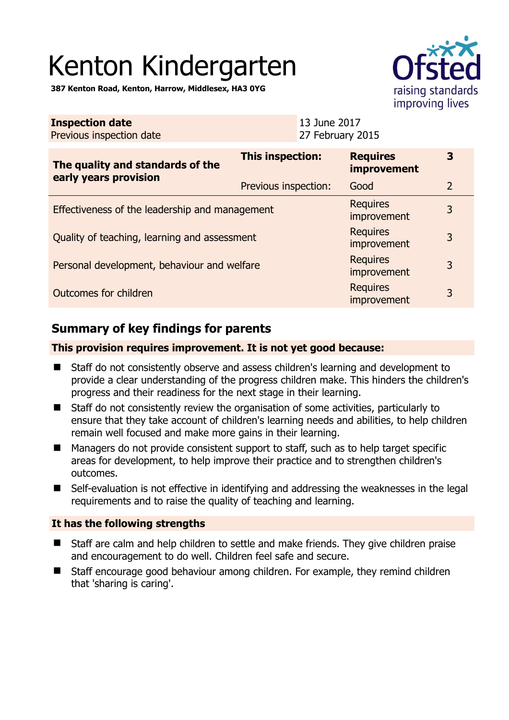# Kenton Kindergarten

**387 Kenton Road, Kenton, Harrow, Middlesex, HA3 0YG** 

|                                                           |                         |                                  | improving lives                       |                |
|-----------------------------------------------------------|-------------------------|----------------------------------|---------------------------------------|----------------|
| <b>Inspection date</b><br>Previous inspection date        |                         | 13 June 2017<br>27 February 2015 |                                       |                |
| The quality and standards of the<br>early years provision | <b>This inspection:</b> |                                  | <b>Requires</b><br><b>improvement</b> | 3              |
|                                                           | Previous inspection:    |                                  | Good                                  | $\overline{2}$ |
| Effectiveness of the leadership and management            |                         |                                  | <b>Requires</b><br>improvement        | 3              |
| Quality of teaching, learning and assessment              |                         |                                  | <b>Requires</b><br>improvement        | 3              |
| Personal development, behaviour and welfare               |                         | <b>Requires</b><br>improvement   | 3                                     |                |
| Outcomes for children                                     |                         |                                  | <b>Requires</b><br>improvement        | 3              |

# **Summary of key findings for parents**

**This provision requires improvement. It is not yet good because:** 

- Staff do not consistently observe and assess children's learning and development to provide a clear understanding of the progress children make. This hinders the children's progress and their readiness for the next stage in their learning.
- Staff do not consistently review the organisation of some activities, particularly to ensure that they take account of children's learning needs and abilities, to help children remain well focused and make more gains in their learning.
- Managers do not provide consistent support to staff, such as to help target specific areas for development, to help improve their practice and to strengthen children's outcomes.
- Self-evaluation is not effective in identifying and addressing the weaknesses in the legal requirements and to raise the quality of teaching and learning.

## **It has the following strengths**

- Staff are calm and help children to settle and make friends. They give children praise and encouragement to do well. Children feel safe and secure.
- Staff encourage good behaviour among children. For example, they remind children that 'sharing is caring'.

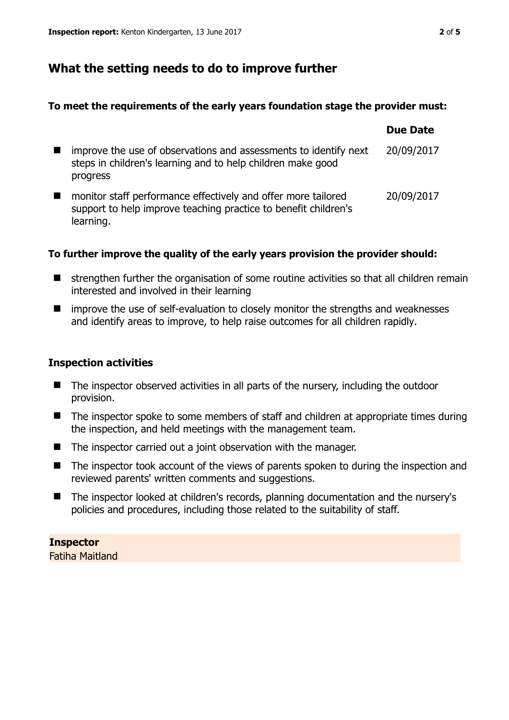## **What the setting needs to do to improve further**

#### **To meet the requirements of the early years foundation stage the provider must:**

|                                                                                                                                               | <b>Due Date</b> |
|-----------------------------------------------------------------------------------------------------------------------------------------------|-----------------|
| improve the use of observations and assessments to identify next<br>steps in children's learning and to help children make good<br>progress   | 20/09/2017      |
| monitor staff performance effectively and offer more tailored<br>support to help improve teaching practice to benefit children's<br>learning. | 20/09/2017      |

## **To further improve the quality of the early years provision the provider should:**

- strengthen further the organisation of some routine activities so that all children remain interested and involved in their learning
- improve the use of self-evaluation to closely monitor the strengths and weaknesses and identify areas to improve, to help raise outcomes for all children rapidly.

## **Inspection activities**

- The inspector observed activities in all parts of the nursery, including the outdoor provision.
- The inspector spoke to some members of staff and children at appropriate times during the inspection, and held meetings with the management team.
- The inspector carried out a joint observation with the manager.
- The inspector took account of the views of parents spoken to during the inspection and reviewed parents' written comments and suggestions.
- The inspector looked at children's records, planning documentation and the nursery's policies and procedures, including those related to the suitability of staff.

**Inspector**  Fatiha Maitland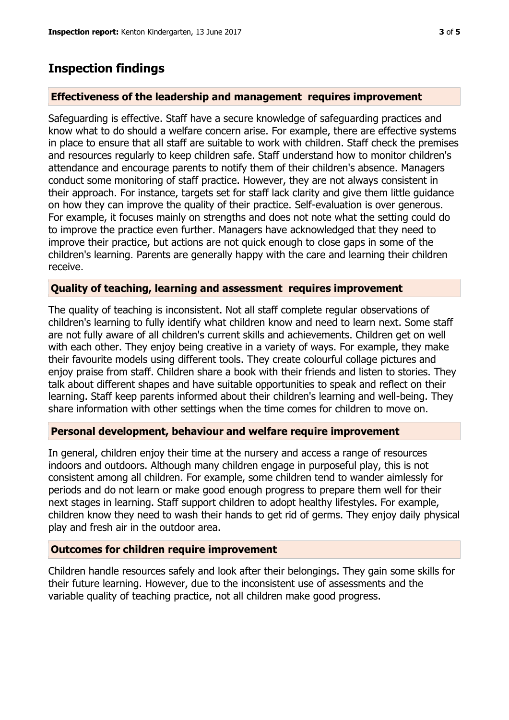## **Inspection findings**

## **Effectiveness of the leadership and management requires improvement**

Safeguarding is effective. Staff have a secure knowledge of safeguarding practices and know what to do should a welfare concern arise. For example, there are effective systems in place to ensure that all staff are suitable to work with children. Staff check the premises and resources regularly to keep children safe. Staff understand how to monitor children's attendance and encourage parents to notify them of their children's absence. Managers conduct some monitoring of staff practice. However, they are not always consistent in their approach. For instance, targets set for staff lack clarity and give them little guidance on how they can improve the quality of their practice. Self-evaluation is over generous. For example, it focuses mainly on strengths and does not note what the setting could do to improve the practice even further. Managers have acknowledged that they need to improve their practice, but actions are not quick enough to close gaps in some of the children's learning. Parents are generally happy with the care and learning their children receive.

## **Quality of teaching, learning and assessment requires improvement**

The quality of teaching is inconsistent. Not all staff complete regular observations of children's learning to fully identify what children know and need to learn next. Some staff are not fully aware of all children's current skills and achievements. Children get on well with each other. They enjoy being creative in a variety of ways. For example, they make their favourite models using different tools. They create colourful collage pictures and enjoy praise from staff. Children share a book with their friends and listen to stories. They talk about different shapes and have suitable opportunities to speak and reflect on their learning. Staff keep parents informed about their children's learning and well-being. They share information with other settings when the time comes for children to move on.

## **Personal development, behaviour and welfare require improvement**

In general, children enjoy their time at the nursery and access a range of resources indoors and outdoors. Although many children engage in purposeful play, this is not consistent among all children. For example, some children tend to wander aimlessly for periods and do not learn or make good enough progress to prepare them well for their next stages in learning. Staff support children to adopt healthy lifestyles. For example, children know they need to wash their hands to get rid of germs. They enjoy daily physical play and fresh air in the outdoor area.

## **Outcomes for children require improvement**

Children handle resources safely and look after their belongings. They gain some skills for their future learning. However, due to the inconsistent use of assessments and the variable quality of teaching practice, not all children make good progress.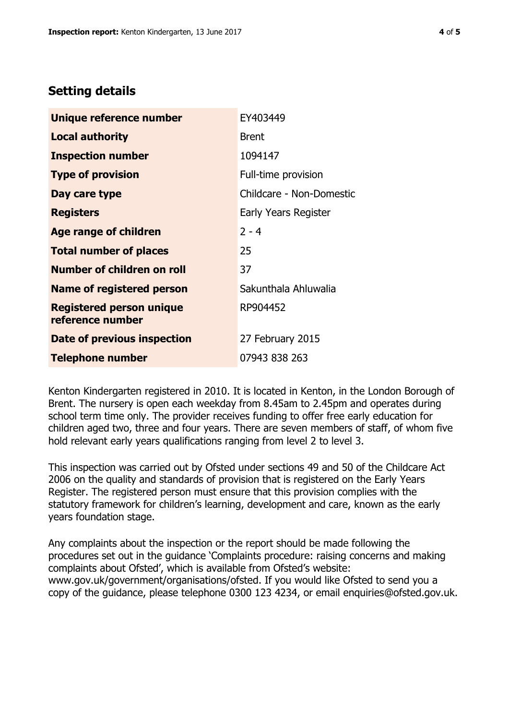## **Setting details**

| Unique reference number                             | EY403449                 |
|-----------------------------------------------------|--------------------------|
| <b>Local authority</b>                              | <b>Brent</b>             |
| <b>Inspection number</b>                            | 1094147                  |
| <b>Type of provision</b>                            | Full-time provision      |
| Day care type                                       | Childcare - Non-Domestic |
| <b>Registers</b>                                    | Early Years Register     |
| <b>Age range of children</b>                        | $2 - 4$                  |
| <b>Total number of places</b>                       | 25                       |
| Number of children on roll                          | 37                       |
| <b>Name of registered person</b>                    | Sakunthala Ahluwalia     |
| <b>Registered person unique</b><br>reference number | RP904452                 |
| Date of previous inspection                         | 27 February 2015         |
| <b>Telephone number</b>                             | 07943 838 263            |

Kenton Kindergarten registered in 2010. It is located in Kenton, in the London Borough of Brent. The nursery is open each weekday from 8.45am to 2.45pm and operates during school term time only. The provider receives funding to offer free early education for children aged two, three and four years. There are seven members of staff, of whom five hold relevant early years qualifications ranging from level 2 to level 3.

This inspection was carried out by Ofsted under sections 49 and 50 of the Childcare Act 2006 on the quality and standards of provision that is registered on the Early Years Register. The registered person must ensure that this provision complies with the statutory framework for children's learning, development and care, known as the early years foundation stage.

Any complaints about the inspection or the report should be made following the procedures set out in the guidance 'Complaints procedure: raising concerns and making complaints about Ofsted', which is available from Ofsted's website: www.gov.uk/government/organisations/ofsted. If you would like Ofsted to send you a copy of the guidance, please telephone 0300 123 4234, or email enquiries@ofsted.gov.uk.